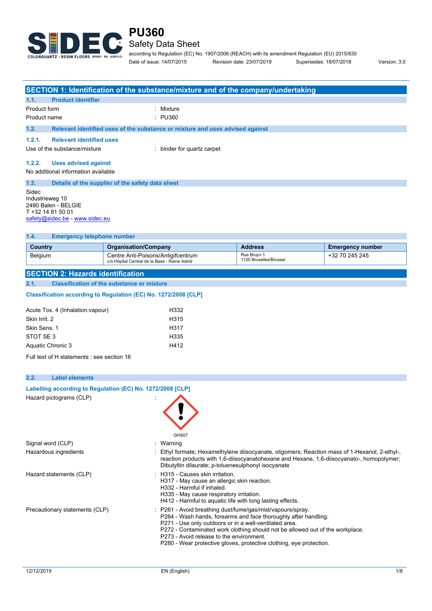

## Safety Data Sheet

according to Regulation (EC) No. 1907/2006 (REACH) with its amendment Regulation (EU) 2015/830 Date of issue: 14/07/2015 Revision date: 23/07/2019 Supersedes: 18/07/2018 Version: 3.0

|                |                                                                                               | SECTION 1: Identification of the substance/mixture and of the company/undertaking   |                                       |                         |
|----------------|-----------------------------------------------------------------------------------------------|-------------------------------------------------------------------------------------|---------------------------------------|-------------------------|
| 1.1.           | <b>Product identifier</b>                                                                     |                                                                                     |                                       |                         |
| Product form   |                                                                                               | : Mixture                                                                           |                                       |                         |
| Product name   |                                                                                               | $\therefore$ PU360                                                                  |                                       |                         |
| 1.2.           |                                                                                               | Relevant identified uses of the substance or mixture and uses advised against       |                                       |                         |
| 1.2.1.         | <b>Relevant identified uses</b>                                                               |                                                                                     |                                       |                         |
|                | Use of the substance/mixture                                                                  | : binder for quartz carpet                                                          |                                       |                         |
| 1.2.2.         |                                                                                               |                                                                                     |                                       |                         |
|                | <b>Uses advised against</b>                                                                   |                                                                                     |                                       |                         |
|                | No additional information available                                                           |                                                                                     |                                       |                         |
| 1.3.           |                                                                                               | Details of the supplier of the safety data sheet                                    |                                       |                         |
| Sidec          | Industrieweg 10<br>2490 Balen - BELGIE<br>T +32 14 81 50 01<br>safety@sidec.be - www.sidec.eu |                                                                                     |                                       |                         |
| 1.4.           | <b>Emergency telephone number</b>                                                             |                                                                                     |                                       |                         |
| <b>Country</b> |                                                                                               | <b>Organisation/Company</b>                                                         | <b>Address</b>                        | <b>Emergency number</b> |
| Belgium        |                                                                                               | Centre Anti-Poisons/Antigifcentrum<br>c/o Hôpital Central de la Base - Reine Astrid | Rue Bruyn 1<br>1120 Bruxelles/Brussel | +32 70 245 245          |
|                | <b>SECTION 2: Hazards identification</b>                                                      |                                                                                     |                                       |                         |
| 2.1.           |                                                                                               | <b>Classification of the substance or mixture</b>                                   |                                       |                         |
|                |                                                                                               | Classification according to Regulation (EC) No. 1272/2008 [CLP]                     |                                       |                         |
|                |                                                                                               |                                                                                     |                                       |                         |

| Acute Tox. 4 (Inhalation: vapour) | H332 |
|-----------------------------------|------|
| Skin Irrit. 2                     | H315 |
| Skin Sens. 1                      | H317 |
| STOT SE3                          | H335 |
| Aquatic Chronic 3                 | H412 |
|                                   |      |

Full text of H statements : see section 16

## **2.2. Label elements Labelling according to** Regulation (EC) No. 1272/2008 [CLP] Hazard pictograms (CLP) : GHS<sub>07</sub> Signal word (CLP) : Warning Hazardous ingredients : Ethyl formate; Hexamethylene diisocyanate, oligomers; Reaction mass of 1-Hexanol, 2-ethyl-, reaction products with 1,6-diisocyanatohexane and Hexane, 1,6-diisocyanato-, homopolymer; Dibutyltin dilaurate; p-toluenesulphonyl isocyanate Hazard statements (CLP)  $\qquad \qquad$ : H315 - Causes skin irritation. H317 - May cause an allergic skin reaction. H332 - Harmful if inhaled. H335 - May cause respiratory irritation. H412 - Harmful to aquatic life with long lasting effects. Precautionary statements (CLP) : P261 - Avoid breathing dust/fume/gas/mist/vapours/spray. P264 - Wash hands, forearms and face thoroughly after handling. P271 - Use only outdoors or in a well-ventilated area. P272 - Contaminated work clothing should not be allowed out of the workplace. P273 - Avoid release to the environment. P280 - Wear protective gloves, protective clothing, eye protection.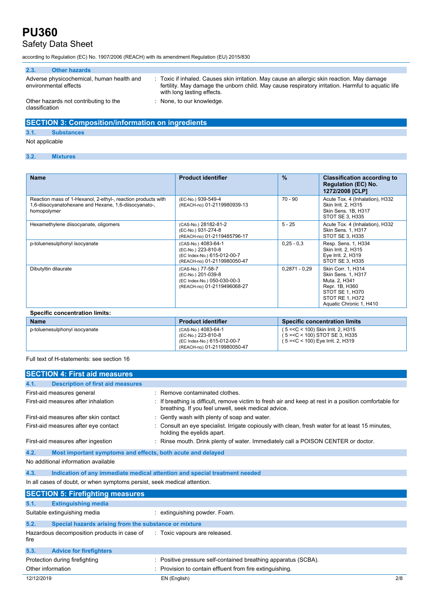# Safety Data Sheet

according to Regulation (EC) No. 1907/2006 (REACH) with its amendment Regulation (EU) 2015/830

| 2.3.           | <b>Other hazards</b>                                               |                                                                                                                                                                                                                              |
|----------------|--------------------------------------------------------------------|------------------------------------------------------------------------------------------------------------------------------------------------------------------------------------------------------------------------------|
|                | Adverse physicochemical, human health and<br>environmental effects | Toxic if inhaled. Causes skin irritation. May cause an allergic skin reaction. May damage<br>fertility. May damage the unborn child. May cause respiratory irritation. Harmful to aguatic life<br>with long lasting effects. |
| classification | Other hazards not contributing to the                              | None, to our knowledge.                                                                                                                                                                                                      |

## **SECTION 3: Composition/information on ingredients**

#### **3.1. Substances**

Not applicable

### **3.2. Mixtures**

| <b>Name</b>                                                                                                                          | <b>Product identifier</b>                                                                               | $\frac{9}{6}$   | <b>Classification according to</b><br><b>Regulation (EC) No.</b><br>1272/2008 [CLP]                                                                        |
|--------------------------------------------------------------------------------------------------------------------------------------|---------------------------------------------------------------------------------------------------------|-----------------|------------------------------------------------------------------------------------------------------------------------------------------------------------|
| Reaction mass of 1-Hexanol, 2-ethyl-, reaction products with<br>1,6-diisocyanatohexane and Hexane, 1,6-diisocyanato-,<br>homopolymer | (EC-No.) 939-549-4<br>(REACH-no) 01-2119980939-13                                                       | $70 - 90$       | Acute Tox. 4 (Inhalation), H332<br>Skin Irrit. 2, H315<br>Skin Sens. 1B, H317<br>STOT SE 3. H335                                                           |
| Hexamethylene diisocyanate, oligomers                                                                                                | (CAS-No.) 28182-81-2<br>(EC-No.) 931-274-8<br>(REACH-no) 01-2119485796-17                               | $5 - 25$        | Acute Tox. 4 (Inhalation), H332<br>Skin Sens. 1, H317<br>STOT SE 3. H335                                                                                   |
| p-toluenesulphonyl isocyanate                                                                                                        | (CAS-No.) 4083-64-1<br>(EC-No.) 223-810-8<br>(EC Index-No.) 615-012-00-7<br>(REACH-no) 01-2119980050-47 | $0.25 - 0.3$    | Resp. Sens. 1, H334<br>Skin Irrit. 2, H315<br>Eye Irrit. 2, H319<br>STOT SE 3, H335                                                                        |
| Dibutyltin dilaurate                                                                                                                 | (CAS-No.) 77-58-7<br>(EC-No.) 201-039-8<br>(EC Index-No.) 050-030-00-3<br>(REACH-no) 01-2119496068-27   | $0.2871 - 0.29$ | <b>Skin Corr. 1. H314</b><br><b>Skin Sens. 1, H317</b><br>Muta. 2, H341<br>Repr. 1B, H360<br>STOT SE 1, H370<br>STOT RE 1, H372<br>Aquatic Chronic 1, H410 |

| Specific concentration limits: |  |
|--------------------------------|--|
|                                |  |

| <b>Name</b>                   | <b>Product identifier</b>                                                                               | Specific concentration limits                                                                               |
|-------------------------------|---------------------------------------------------------------------------------------------------------|-------------------------------------------------------------------------------------------------------------|
| p-toluenesulphonyl isocyanate | (CAS-No.) 4083-64-1<br>(EC-No.) 223-810-8<br>(EC Index-No.) 615-012-00-7<br>(REACH-no) 01-2119980050-47 | $(5 = C < 100)$ Skin Irrit. 2, H315<br>$(5 = C < 100)$ STOT SE 3, H335<br>(5 =< C < 100) Eye Irrit. 2, H319 |

#### Full text of H-statements: see section 16

|                   | <b>SECTION 4: First aid measures</b>                                     |                                                                                                                                                             |
|-------------------|--------------------------------------------------------------------------|-------------------------------------------------------------------------------------------------------------------------------------------------------------|
| 4.1.              | <b>Description of first aid measures</b>                                 |                                                                                                                                                             |
|                   | First-aid measures general                                               | Remove contaminated clothes.                                                                                                                                |
|                   | First-aid measures after inhalation                                      | If breathing is difficult, remove victim to fresh air and keep at rest in a position comfortable for<br>breathing. If you feel unwell, seek medical advice. |
|                   | First-aid measures after skin contact                                    | Gently wash with plenty of soap and water.                                                                                                                  |
|                   | First-aid measures after eye contact                                     | Consult an eye specialist. Irrigate copiously with clean, fresh water for at least 15 minutes,<br>holding the eyelids apart.                                |
|                   | First-aid measures after ingestion                                       | Rinse mouth. Drink plenty of water. Immediately call a POISON CENTER or doctor.                                                                             |
| 4.2.              | Most important symptoms and effects, both acute and delayed              |                                                                                                                                                             |
|                   | No additional information available                                      |                                                                                                                                                             |
| 4.3.              |                                                                          | Indication of any immediate medical attention and special treatment needed                                                                                  |
|                   | In all cases of doubt, or when symptoms persist, seek medical attention. |                                                                                                                                                             |
|                   | <b>SECTION 5: Firefighting measures</b>                                  |                                                                                                                                                             |
| 5.1.              | <b>Extinguishing media</b>                                               |                                                                                                                                                             |
|                   | Suitable extinguishing media                                             | : extinguishing powder. Foam.                                                                                                                               |
| 5.2.              | Special hazards arising from the substance or mixture                    |                                                                                                                                                             |
| fire              | Hazardous decomposition products in case of                              | : Toxic vapours are released.                                                                                                                               |
| 5.3.              | <b>Advice for firefighters</b>                                           |                                                                                                                                                             |
| Other information | Protection during firefighting                                           | Positive pressure self-contained breathing apparatus (SCBA).<br>Provision to contain effluent from fire extinguishing.                                      |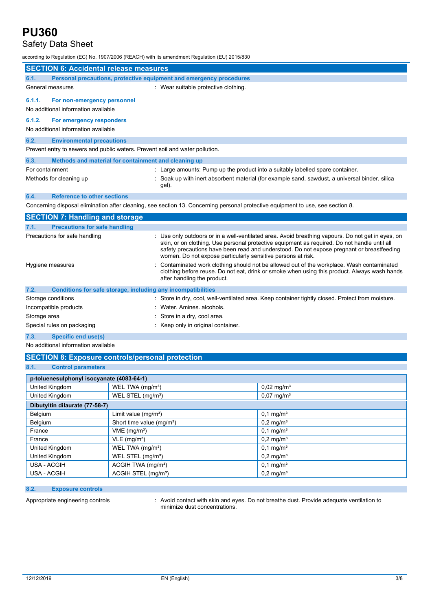## Safety Data Sheet

according to Regulation (EC) No. 1907/2006 (REACH) with its amendment Regulation (EU) 2015/830

|                 | <b>SECTION 6: Accidental release measures</b>                                |                                                                                                                                 |
|-----------------|------------------------------------------------------------------------------|---------------------------------------------------------------------------------------------------------------------------------|
| 6.1.            | Personal precautions, protective equipment and emergency procedures          |                                                                                                                                 |
|                 | General measures                                                             | : Wear suitable protective clothing.                                                                                            |
| 6.1.1.          | For non-emergency personnel<br>No additional information available           |                                                                                                                                 |
| 6.1.2.          | For emergency responders                                                     |                                                                                                                                 |
|                 | No additional information available                                          |                                                                                                                                 |
| 6.2.            | <b>Environmental precautions</b>                                             |                                                                                                                                 |
|                 | Prevent entry to sewers and public waters. Prevent soil and water pollution. |                                                                                                                                 |
| 6.3.            | Methods and material for containment and cleaning up                         |                                                                                                                                 |
| For containment |                                                                              | : Large amounts: Pump up the product into a suitably labelled spare container.                                                  |
|                 | Methods for cleaning up                                                      | Soak up with inert absorbent material (for example sand, sawdust, a universal binder, silica<br>gel).                           |
| 6.4.            | <b>Reference to other sections</b>                                           |                                                                                                                                 |
|                 |                                                                              | Concerning disposal elimination after cleaning, see section 13. Concerning personal protective equipment to use, see section 8. |
|                 | <b>SECTION 7: Handling and storage</b>                                       |                                                                                                                                 |
| 7.1.            | <b>Precautions for safe handling</b>                                         |                                                                                                                                 |

| Precautions for safe handling                                        | : Use only outdoors or in a well-ventilated area. Avoid breathing vapours. Do not get in eyes, on<br>skin, or on clothing. Use personal protective equipment as required. Do not handle until all<br>safety precautions have been read and understood. Do not expose pregnant or breastfeeding<br>women. Do not expose particularly sensitive persons at risk. |
|----------------------------------------------------------------------|----------------------------------------------------------------------------------------------------------------------------------------------------------------------------------------------------------------------------------------------------------------------------------------------------------------------------------------------------------------|
| Hygiene measures                                                     | : Contaminated work clothing should not be allowed out of the workplace. Wash contaminated<br>clothing before reuse. Do not eat, drink or smoke when using this product. Always wash hands<br>after handling the product.                                                                                                                                      |
| 7.2.<br>Conditions for safe storage, including any incompatibilities |                                                                                                                                                                                                                                                                                                                                                                |
| Storage conditions                                                   | : Store in dry, cool, well-ventilated area. Keep container tightly closed. Protect from moisture.                                                                                                                                                                                                                                                              |
| Incompatible products                                                | : Water Amines alcohols.                                                                                                                                                                                                                                                                                                                                       |
| Storage area                                                         | : Store in a dry, cool area.                                                                                                                                                                                                                                                                                                                                   |
| Special rules on packaging                                           | Keep only in original container.                                                                                                                                                                                                                                                                                                                               |

#### **7.3. Specific end use(s)**

No additional information available

### **SECTION 8: Exposure controls/personal protection**

|--|

| p-toluenesulphonyl isocyanate (4083-64-1) |                                       |                          |
|-------------------------------------------|---------------------------------------|--------------------------|
| United Kingdom                            | WEL TWA (mg/m <sup>3</sup> )          | $0,02 \,\mathrm{mg/m^3}$ |
| United Kingdom                            | WEL STEL (mg/m <sup>3</sup> )         | $0,07 \,\mathrm{mg/m^3}$ |
| Dibutyltin dilaurate (77-58-7)            |                                       |                          |
| Belgium                                   | Limit value $(mg/m3)$                 | $0,1 \,\mathrm{mg/m^3}$  |
| Belgium                                   | Short time value (mg/m <sup>3</sup> ) | $0,2 \,\mathrm{mg/m^3}$  |
| France                                    | VME (mg/m <sup>3</sup> )              | $0.1 \text{ mg/m}^3$     |
| France                                    | $VLE$ (mg/m <sup>3</sup> )            | $0,2 \,\mathrm{mg/m^3}$  |
| United Kingdom                            | WEL TWA (mg/m <sup>3</sup> )          | $0.1 \text{ mg/m}^3$     |
| United Kingdom                            | WEL STEL (mg/m <sup>3</sup> )         | $0.2 \,\mathrm{mq/m^3}$  |
| USA - ACGIH                               | ACGIH TWA (mg/m <sup>3</sup> )        | $0,1 \,\mathrm{mg/m^3}$  |
| USA - ACGIH                               | ACGIH STEL (mg/m <sup>3</sup> )       | $0.2 \,\mathrm{mq/m^3}$  |

### **8.2. Exposure controls**

Appropriate engineering controls : Avoid contact with skin and eyes. Do not breathe dust. Provide adequate ventilation to minimize dust concentrations.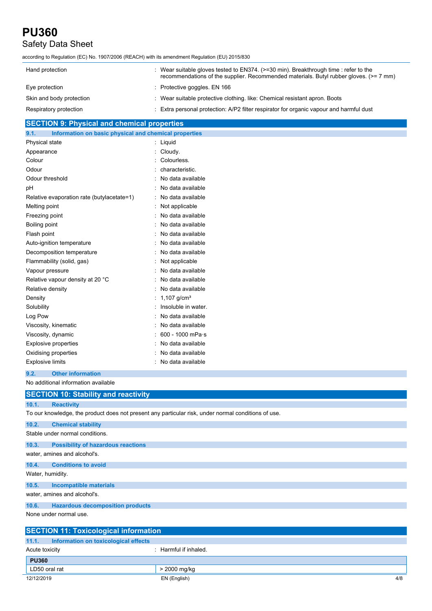# Safety Data Sheet

| according to Regulation (EC) No. 1907/2006 (REACH) with its amendment Regulation (EU) 2015/830 |
|------------------------------------------------------------------------------------------------|
|------------------------------------------------------------------------------------------------|

| Hand protection          | : Wear suitable gloves tested to $EN374$ . ( $>=30$ min). Breakthrough time : refer to the<br>recommendations of the supplier. Recommended materials. Butyl rubber gloves. (>= 7 mm) |
|--------------------------|--------------------------------------------------------------------------------------------------------------------------------------------------------------------------------------|
| Eye protection           | : Protective goggles. EN 166                                                                                                                                                         |
| Skin and body protection | : Wear suitable protective clothing. like: Chemical resistant apron. Boots                                                                                                           |
| Respiratory protection   | Extra personal protection: A/P2 filter respirator for organic vapour and harmful dust                                                                                                |

### **SECTION 9: Physical and chemical properties**

| $:$ Liquid<br>: Cloudy.<br>: Colourless.<br>characteristic.<br>: No data available<br>No data available<br>: No data available<br>Relative evaporation rate (butylacetate=1)<br>: Not applicable<br>: No data available<br>Boiling point<br>No data available<br>: No data available<br>: No data available<br>Decomposition temperature<br>No data available<br>: Not applicable<br>: No data available<br>Relative vapour density at 20 °C<br>No data available<br>No data available<br>: 1,107 g/cm <sup>3</sup><br>Insoluble in water.<br>No data available<br>No data available<br>600 - 1000 mPa·s | 9.1.<br>Information on basic physical and chemical properties |                   |
|----------------------------------------------------------------------------------------------------------------------------------------------------------------------------------------------------------------------------------------------------------------------------------------------------------------------------------------------------------------------------------------------------------------------------------------------------------------------------------------------------------------------------------------------------------------------------------------------------------|---------------------------------------------------------------|-------------------|
|                                                                                                                                                                                                                                                                                                                                                                                                                                                                                                                                                                                                          | Physical state                                                |                   |
|                                                                                                                                                                                                                                                                                                                                                                                                                                                                                                                                                                                                          | Appearance                                                    |                   |
|                                                                                                                                                                                                                                                                                                                                                                                                                                                                                                                                                                                                          | Colour                                                        |                   |
|                                                                                                                                                                                                                                                                                                                                                                                                                                                                                                                                                                                                          | Odour                                                         |                   |
|                                                                                                                                                                                                                                                                                                                                                                                                                                                                                                                                                                                                          | Odour threshold                                               |                   |
|                                                                                                                                                                                                                                                                                                                                                                                                                                                                                                                                                                                                          | pH                                                            |                   |
|                                                                                                                                                                                                                                                                                                                                                                                                                                                                                                                                                                                                          |                                                               |                   |
|                                                                                                                                                                                                                                                                                                                                                                                                                                                                                                                                                                                                          | Melting point                                                 |                   |
|                                                                                                                                                                                                                                                                                                                                                                                                                                                                                                                                                                                                          | Freezing point                                                |                   |
|                                                                                                                                                                                                                                                                                                                                                                                                                                                                                                                                                                                                          |                                                               |                   |
|                                                                                                                                                                                                                                                                                                                                                                                                                                                                                                                                                                                                          | Flash point                                                   |                   |
|                                                                                                                                                                                                                                                                                                                                                                                                                                                                                                                                                                                                          | Auto-ignition temperature                                     |                   |
|                                                                                                                                                                                                                                                                                                                                                                                                                                                                                                                                                                                                          |                                                               |                   |
|                                                                                                                                                                                                                                                                                                                                                                                                                                                                                                                                                                                                          | Flammability (solid, gas)                                     |                   |
|                                                                                                                                                                                                                                                                                                                                                                                                                                                                                                                                                                                                          | Vapour pressure                                               |                   |
|                                                                                                                                                                                                                                                                                                                                                                                                                                                                                                                                                                                                          |                                                               |                   |
|                                                                                                                                                                                                                                                                                                                                                                                                                                                                                                                                                                                                          | Relative density                                              |                   |
|                                                                                                                                                                                                                                                                                                                                                                                                                                                                                                                                                                                                          | Density                                                       |                   |
|                                                                                                                                                                                                                                                                                                                                                                                                                                                                                                                                                                                                          | Solubility                                                    |                   |
|                                                                                                                                                                                                                                                                                                                                                                                                                                                                                                                                                                                                          | Log Pow                                                       |                   |
|                                                                                                                                                                                                                                                                                                                                                                                                                                                                                                                                                                                                          | Viscosity, kinematic                                          |                   |
|                                                                                                                                                                                                                                                                                                                                                                                                                                                                                                                                                                                                          | Viscosity, dynamic                                            |                   |
|                                                                                                                                                                                                                                                                                                                                                                                                                                                                                                                                                                                                          | <b>Explosive properties</b>                                   | No data available |
| Oxidising properties<br>No data available                                                                                                                                                                                                                                                                                                                                                                                                                                                                                                                                                                |                                                               |                   |
| <b>Explosive limits</b><br>: No data available                                                                                                                                                                                                                                                                                                                                                                                                                                                                                                                                                           |                                                               |                   |

### **9.2. Other information**

No additional information available

| <b>SECTION 10: Stability and reactivity</b>        |                                                                                                     |  |
|----------------------------------------------------|-----------------------------------------------------------------------------------------------------|--|
| 10.1.<br><b>Reactivity</b>                         |                                                                                                     |  |
|                                                    | To our knowledge, the product does not present any particular risk, under normal conditions of use. |  |
| 10.2.<br><b>Chemical stability</b>                 |                                                                                                     |  |
| Stable under normal conditions.                    |                                                                                                     |  |
| <b>Possibility of hazardous reactions</b><br>10.3. |                                                                                                     |  |
| water, amines and alcohol's.                       |                                                                                                     |  |
| <b>Conditions to avoid</b><br>10.4.                |                                                                                                     |  |
| Water, humidity.                                   |                                                                                                     |  |
| 10.5.<br><b>Incompatible materials</b>             |                                                                                                     |  |
| water, amines and alcohol's.                       |                                                                                                     |  |
| <b>Hazardous decomposition products</b><br>10.6.   |                                                                                                     |  |
| None under normal use.                             |                                                                                                     |  |
| <b>SECTION 11: Toxicological information</b>       |                                                                                                     |  |
| Information on toxicological effects<br>11.1.      |                                                                                                     |  |
| Acute toxicity                                     | : Harmful if inhaled.                                                                               |  |

| <b>PU360</b>  |              |     |
|---------------|--------------|-----|
| LD50 oral rat | 2000 mg/kg   |     |
| 12/12/2019    | EN (English) | 4/8 |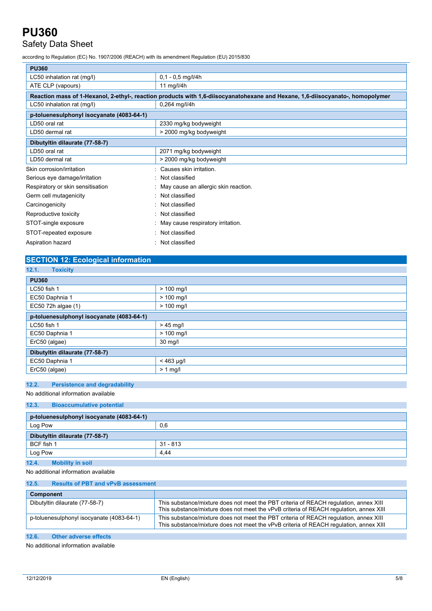# Safety Data Sheet

according to Regulation (EC) No. 1907/2006 (REACH) with its amendment Regulation (EU) 2015/830

| <b>PU360</b>                              |                                                                                                                                |  |  |
|-------------------------------------------|--------------------------------------------------------------------------------------------------------------------------------|--|--|
| LC50 inhalation rat (mg/l)                | $0,1 - 0,5$ mg/l/4h                                                                                                            |  |  |
| ATE CLP (vapours)                         | 11 mg/l/4 $h$                                                                                                                  |  |  |
|                                           | Reaction mass of 1-Hexanol, 2-ethyl-, reaction products with 1,6-diisocyanatohexane and Hexane, 1,6-diisocyanato-, homopolymer |  |  |
| LC50 inhalation rat (mg/l)                | $0,264$ mg/l/4h                                                                                                                |  |  |
| p-toluenesulphonyl isocyanate (4083-64-1) |                                                                                                                                |  |  |
| LD50 oral rat                             | 2330 mg/kg bodyweight                                                                                                          |  |  |
| LD50 dermal rat                           | > 2000 mg/kg bodyweight                                                                                                        |  |  |
| Dibutyltin dilaurate (77-58-7)            |                                                                                                                                |  |  |
| LD50 oral rat                             | 2071 mg/kg bodyweight                                                                                                          |  |  |
| LD50 dermal rat                           | > 2000 mg/kg bodyweight                                                                                                        |  |  |
| Skin corrosion/irritation                 | Causes skin irritation.                                                                                                        |  |  |
| Serious eye damage/irritation             | Not classified<br>$\sim$                                                                                                       |  |  |
| Respiratory or skin sensitisation         | May cause an allergic skin reaction.                                                                                           |  |  |
| Germ cell mutagenicity                    | Not classified                                                                                                                 |  |  |
| Carcinogenicity                           | Not classified                                                                                                                 |  |  |
| Reproductive toxicity                     | Not classified                                                                                                                 |  |  |
| STOT-single exposure                      | May cause respiratory irritation.                                                                                              |  |  |
| STOT-repeated exposure                    | Not classified                                                                                                                 |  |  |
| Aspiration hazard                         | Not classified                                                                                                                 |  |  |

### **SECTION 12: Ecological information**

| 12.1.<br><b>Toxicity</b>                  |              |  |
|-------------------------------------------|--------------|--|
| <b>PU360</b>                              |              |  |
| LC50 fish 1                               | $> 100$ mg/l |  |
| EC50 Daphnia 1                            | $> 100$ mg/l |  |
| EC50 72h algae (1)                        | $> 100$ mg/l |  |
| p-toluenesulphonyl isocyanate (4083-64-1) |              |  |
| LC50 fish 1                               | $>45$ mg/l   |  |
| EC50 Daphnia 1                            | $> 100$ mg/l |  |
| ErC50 (algae)                             | 30 mg/l      |  |
| Dibutyltin dilaurate (77-58-7)            |              |  |
| EC50 Daphnia 1                            | $< 463$ µg/l |  |
| ErC50 (algae)                             | $> 1$ mg/l   |  |

### **12.2. Persistence and degradability**

#### No additional information available

#### **12.3. Bioaccumulative potential**

| p-toluenesulphonyl isocyanate (4083-64-1) |            |  |
|-------------------------------------------|------------|--|
| Log Pow                                   | 0,6        |  |
| Dibutyltin dilaurate (77-58-7)            |            |  |
| BCF fish 1                                | $31 - 813$ |  |
| Log Pow                                   | 4.44       |  |
| 12.4.<br><b>Mobility in soil</b>          |            |  |

No additional information available

| 12.5.<br><b>Results of PBT and vPvB assessment</b> |                                                                                                                                                                                 |
|----------------------------------------------------|---------------------------------------------------------------------------------------------------------------------------------------------------------------------------------|
| Component                                          |                                                                                                                                                                                 |
| Dibutyltin dilaurate (77-58-7)                     | This substance/mixture does not meet the PBT criteria of REACH regulation, annex XIII<br>This substance/mixture does not meet the vPvB criteria of REACH regulation, annex XIII |
| p-toluenesulphonyl isocyanate (4083-64-1)          | This substance/mixture does not meet the PBT criteria of REACH regulation, annex XIII<br>This substance/mixture does not meet the vPvB criteria of REACH regulation, annex XIII |

## **12.6. Other adverse effects**

No additional information available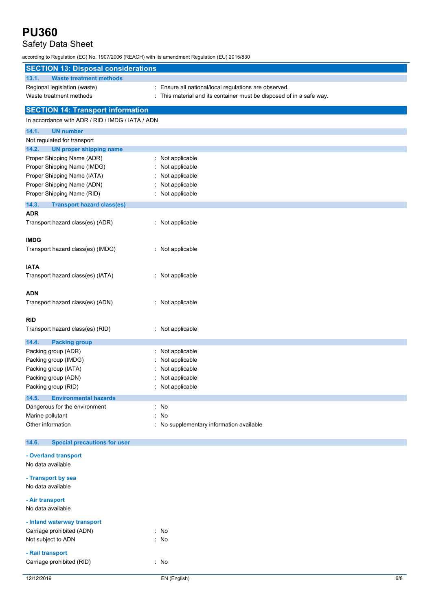# Safety Data Sheet

according to Regulation (EC) No. 1907/2006 (REACH) with its amendment Regulation (EU) 2015/830

| <b>SECTION 13: Disposal considerations</b>                   |                                                                      |
|--------------------------------------------------------------|----------------------------------------------------------------------|
| <b>Waste treatment methods</b><br>13.1.                      |                                                                      |
| Regional legislation (waste)                                 | : Ensure all national/local regulations are observed.                |
| Waste treatment methods                                      | : This material and its container must be disposed of in a safe way. |
| <b>SECTION 14: Transport information</b>                     |                                                                      |
| In accordance with ADR / RID / IMDG / IATA / ADN             |                                                                      |
|                                                              |                                                                      |
| 14.1.<br><b>UN number</b>                                    |                                                                      |
| Not regulated for transport<br>14.2.                         |                                                                      |
| <b>UN proper shipping name</b><br>Proper Shipping Name (ADR) | : Not applicable                                                     |
| Proper Shipping Name (IMDG)                                  | Not applicable                                                       |
| Proper Shipping Name (IATA)                                  | Not applicable                                                       |
| Proper Shipping Name (ADN)                                   | Not applicable                                                       |
| Proper Shipping Name (RID)                                   | : Not applicable                                                     |
| 14.3.<br><b>Transport hazard class(es)</b>                   |                                                                      |
| <b>ADR</b>                                                   |                                                                      |
| Transport hazard class(es) (ADR)                             | : Not applicable                                                     |
|                                                              |                                                                      |
| <b>IMDG</b>                                                  |                                                                      |
| Transport hazard class(es) (IMDG)                            | : Not applicable                                                     |
|                                                              |                                                                      |
| <b>IATA</b>                                                  |                                                                      |
| Transport hazard class(es) (IATA)                            | : Not applicable                                                     |
|                                                              |                                                                      |
| <b>ADN</b>                                                   |                                                                      |
| Transport hazard class(es) (ADN)                             | : Not applicable                                                     |
|                                                              |                                                                      |
| <b>RID</b>                                                   |                                                                      |
| Transport hazard class(es) (RID)                             | : Not applicable                                                     |
| 14.4.<br><b>Packing group</b>                                |                                                                      |
| Packing group (ADR)                                          | : Not applicable                                                     |
| Packing group (IMDG)                                         | Not applicable                                                       |
| Packing group (IATA)                                         | Not applicable                                                       |
| Packing group (ADN)                                          | Not applicable                                                       |
| Packing group (RID)                                          | Not applicable                                                       |
| 14.5.<br><b>Environmental hazards</b>                        |                                                                      |
| Dangerous for the environment                                | : No                                                                 |
| Marine pollutant                                             | : No                                                                 |
| Other information                                            | : No supplementary information available                             |
|                                                              |                                                                      |
| 14.6.<br><b>Special precautions for user</b>                 |                                                                      |
| - Overland transport                                         |                                                                      |
| No data available                                            |                                                                      |
| - Transport by sea                                           |                                                                      |
| No data available                                            |                                                                      |
|                                                              |                                                                      |
| - Air transport                                              |                                                                      |
| No data available                                            |                                                                      |
| - Inland waterway transport                                  |                                                                      |
| Carriage prohibited (ADN)                                    | $:$ No                                                               |
| Not subject to ADN                                           | : No                                                                 |
| - Rail transport                                             |                                                                      |
| Carriage prohibited (RID)                                    | : No                                                                 |
|                                                              |                                                                      |
| 12/12/2019                                                   | EN (English)<br>6/8                                                  |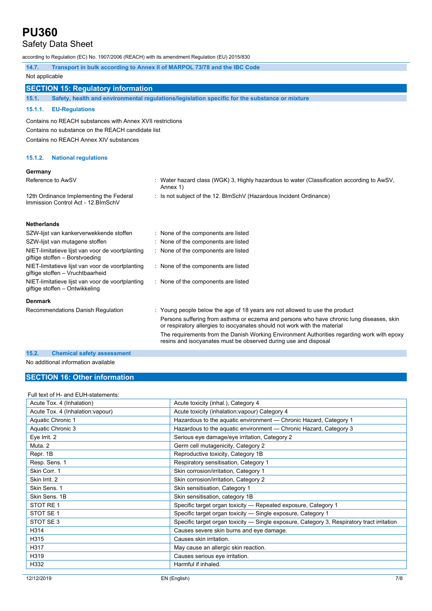## Safety Data Sheet

according to Regulation (EC) No. 1907/2006 (REACH) with its amendment Regulation (EU) 2015/830

| 14.7.                                                                                | Transport in bulk according to Annex II of MARPOL 73/78 and the IBC Code                                                                                                                                                                                                                                                                                                                                              |  |  |
|--------------------------------------------------------------------------------------|-----------------------------------------------------------------------------------------------------------------------------------------------------------------------------------------------------------------------------------------------------------------------------------------------------------------------------------------------------------------------------------------------------------------------|--|--|
| Not applicable                                                                       |                                                                                                                                                                                                                                                                                                                                                                                                                       |  |  |
| <b>SECTION 15: Regulatory information</b>                                            |                                                                                                                                                                                                                                                                                                                                                                                                                       |  |  |
| 15.1.                                                                                | Safety, health and environmental regulations/legislation specific for the substance or mixture                                                                                                                                                                                                                                                                                                                        |  |  |
| 15.1.1.<br><b>EU-Regulations</b>                                                     |                                                                                                                                                                                                                                                                                                                                                                                                                       |  |  |
| Contains no REACH substances with Annex XVII restrictions                            |                                                                                                                                                                                                                                                                                                                                                                                                                       |  |  |
| Contains no substance on the REACH candidate list                                    |                                                                                                                                                                                                                                                                                                                                                                                                                       |  |  |
| Contains no REACH Annex XIV substances                                               |                                                                                                                                                                                                                                                                                                                                                                                                                       |  |  |
|                                                                                      |                                                                                                                                                                                                                                                                                                                                                                                                                       |  |  |
| 15.1.2.<br><b>National regulations</b>                                               |                                                                                                                                                                                                                                                                                                                                                                                                                       |  |  |
| Germany                                                                              |                                                                                                                                                                                                                                                                                                                                                                                                                       |  |  |
| Reference to AwSV                                                                    | Water hazard class (WGK) 3, Highly hazardous to water (Classification according to AwSV,<br>Annex 1)                                                                                                                                                                                                                                                                                                                  |  |  |
| 12th Ordinance Implementing the Federal<br>Immission Control Act - 12. BlmSchV       | : Is not subject of the 12. BlmSchV (Hazardous Incident Ordinance)                                                                                                                                                                                                                                                                                                                                                    |  |  |
| <b>Netherlands</b>                                                                   |                                                                                                                                                                                                                                                                                                                                                                                                                       |  |  |
| SZW-lijst van kankerverwekkende stoffen                                              | : None of the components are listed                                                                                                                                                                                                                                                                                                                                                                                   |  |  |
| SZW-lijst van mutagene stoffen                                                       | : None of the components are listed                                                                                                                                                                                                                                                                                                                                                                                   |  |  |
| NIET-limitatieve lijst van voor de voortplanting<br>giftige stoffen - Borstvoeding   | : None of the components are listed                                                                                                                                                                                                                                                                                                                                                                                   |  |  |
| NIET-limitatieve lijst van voor de voortplanting<br>giftige stoffen - Vruchtbaarheid | : None of the components are listed                                                                                                                                                                                                                                                                                                                                                                                   |  |  |
| NIET-limitatieve lijst van voor de voortplanting<br>giftige stoffen - Ontwikkeling   | : None of the components are listed                                                                                                                                                                                                                                                                                                                                                                                   |  |  |
| <b>Denmark</b>                                                                       |                                                                                                                                                                                                                                                                                                                                                                                                                       |  |  |
| Recommendations Danish Regulation                                                    | : Young people below the age of 18 years are not allowed to use the product<br>Persons suffering from asthma or eczema and persons who have chronic lung diseases, skin<br>or respiratory allergies to isocyanates should not work with the material<br>The requirements from the Danish Working Environment Authorities regarding work with epoxy<br>resins and isocyanates must be observed during use and disposal |  |  |
| 15.2.<br><b>Chemical safety assessment</b>                                           |                                                                                                                                                                                                                                                                                                                                                                                                                       |  |  |

No additional information available

### **SECTION 16: Other information**

### Full text of H- and EUH-statements:

| Acute Tox. 4 (Inhalation)         | Acute toxicity (inhal.), Category 4                                                        |
|-----------------------------------|--------------------------------------------------------------------------------------------|
| Acute Tox. 4 (Inhalation: vapour) | Acute toxicity (inhalation: vapour) Category 4                                             |
| Aquatic Chronic 1                 | Hazardous to the aquatic environment - Chronic Hazard, Category 1                          |
| Aquatic Chronic 3                 | Hazardous to the aquatic environment - Chronic Hazard, Category 3                          |
| Eye Irrit. 2                      | Serious eye damage/eye irritation, Category 2                                              |
| Muta. 2                           | Germ cell mutagenicity, Category 2                                                         |
| Repr. 1B                          | Reproductive toxicity, Category 1B                                                         |
| Resp. Sens. 1                     | Respiratory sensitisation, Category 1                                                      |
| Skin Corr. 1                      | Skin corrosion/irritation, Category 1                                                      |
| Skin Irrit. 2                     | Skin corrosion/irritation, Category 2                                                      |
| Skin Sens. 1                      | Skin sensitisation, Category 1                                                             |
| Skin Sens, 1B                     | Skin sensitisation, category 1B                                                            |
| STOT RE1                          | Specific target organ toxicity - Repeated exposure, Category 1                             |
| STOT SE 1                         | Specific target organ toxicity — Single exposure, Category 1                               |
| STOT SE 3                         | Specific target organ toxicity — Single exposure, Category 3, Respiratory tract irritation |
| H314                              | Causes severe skin burns and eye damage.                                                   |
| H315                              | Causes skin irritation.                                                                    |
| H317                              | May cause an allergic skin reaction.                                                       |
| H319                              | Causes serious eye irritation.                                                             |
| H332                              | Harmful if inhaled.                                                                        |